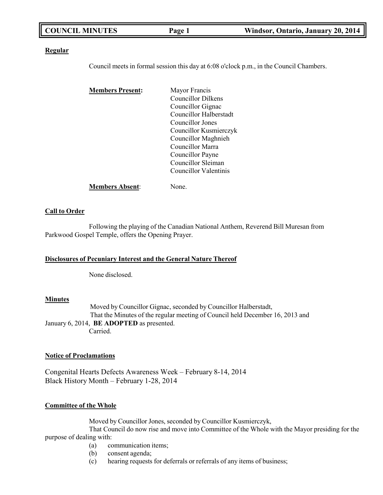| <b>COUNCIL MINUTES</b> | Page 1 | Windsor, Ontario, January 20, 2014 |
|------------------------|--------|------------------------------------|
|                        |        |                                    |

### **Regular**

Council meets in formal session this day at 6:08 o'clock p.m., in the Council Chambers.

| <b>Members Present:</b> | Mayor Francis          |
|-------------------------|------------------------|
|                         | Councillor Dilkens     |
|                         | Councillor Gignac      |
|                         | Councillor Halberstadt |
|                         | Councillor Jones       |
|                         | Councillor Kusmierczyk |
|                         | Councillor Maghnieh    |
|                         | Councillor Marra       |
|                         | Councillor Payne       |
|                         | Councillor Sleiman     |
|                         | Councillor Valentinis  |
| <b>Members Absent:</b>  | None.                  |

### **Call to Order**

Following the playing of the Canadian National Anthem, Reverend Bill Muresan from Parkwood Gospel Temple, offers the Opening Prayer.

### **Disclosures of Pecuniary Interest and the General Nature Thereof**

None disclosed.

### **Minutes**

Moved by Councillor Gignac, seconded by Councillor Halberstadt, That the Minutes of the regular meeting of Council held December 16, 2013 and January 6, 2014, **BE ADOPTED** as presented. Carried.

### **Notice of Proclamations**

Congenital Hearts Defects Awareness Week – February 8-14, 2014 Black History Month – February 1-28, 2014

### **Committee of the Whole**

Moved by Councillor Jones, seconded by Councillor Kusmierczyk,

That Council do now rise and move into Committee of the Whole with the Mayor presiding for the purpose of dealing with:

- (a) communication items;
- (b) consent agenda;
- (c) hearing requests for deferrals or referrals of any items of business;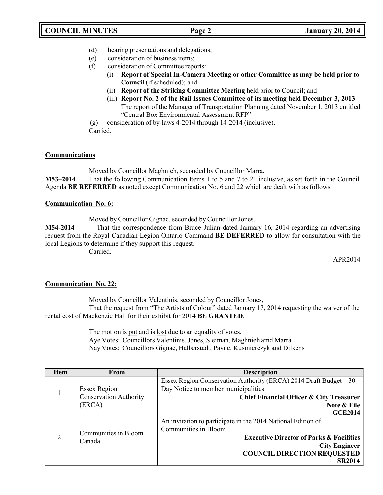- (d) hearing presentations and delegations;
- (e) consideration of business items;
- (f) consideration of Committee reports:
	- (i) **Report of Special In-Camera Meeting or other Committee as may be held prior to Council** (if scheduled); and
	- (ii) **Report of the Striking Committee Meeting** held prior to Council; and
	- (iii) **Report No. 2 of the Rail Issues Committee of its meeting held December 3, 2013**  The report of the Manager of Transportation Planning dated November 1, 2013 entitled "Central Box Environmental Assessment RFP"

(g) consideration of by-laws 4-2014 through 14-2014 (inclusive).

Carried.

## **Communications**

Moved by Councillor Maghnieh, seconded by Councillor Marra, **M53–2014** That the following Communication Items 1 to 5 and 7 to 21 inclusive, as set forth in the Council Agenda **BE REFERRED** as noted except Communication No. 6 and 22 which are dealt with as follows:

## **Communication No. 6:**

Moved by Councillor Gignac, seconded by Councillor Jones,

**M54-2014** That the correspondence from Bruce Julian dated January 16, 2014 regarding an advertising request from the Royal Canadian Legion Ontario Command **BE DEFERRED** to allow for consultation with the local Legions to determine if they support this request.

Carried.

APR2014

## **Communication No. 22:**

Moved by Councillor Valentinis, seconded by Councillor Jones,

That the request from "The Artists of Colour" dated January 17, 2014 requesting the waiver of the rental cost of Mackenzie Hall for their exhibit for 2014 **BE GRANTED**.

> The motion is put and is lost due to an equality of votes. Aye Votes: Councillors Valentinis, Jones, Sleiman, Maghnieh amd Marra Nay Votes: Councillors Gignac, Halberstadt, Payne. Kusmierczyk and Dilkens

| Item                                             | From                          | <b>Description</b>                                                |
|--------------------------------------------------|-------------------------------|-------------------------------------------------------------------|
|                                                  |                               | Essex Region Conservation Authority (ERCA) 2014 Draft Budget – 30 |
| 1                                                | <b>Essex Region</b>           | Day Notice to member municipalities                               |
|                                                  | <b>Conservation Authority</b> | Chief Financial Officer & City Treasurer                          |
|                                                  | (ERCA)                        | Note & File                                                       |
|                                                  |                               | <b>GCE2014</b>                                                    |
|                                                  |                               | An invitation to participate in the 2014 National Edition of      |
| Communities in Bloom<br>$\overline{2}$<br>Canada |                               | Communities in Bloom                                              |
|                                                  |                               | <b>Executive Director of Parks &amp; Facilities</b>               |
|                                                  |                               | <b>City Engineer</b>                                              |
|                                                  |                               | <b>COUNCIL DIRECTION REQUESTED</b>                                |
|                                                  |                               | <b>SR2014</b>                                                     |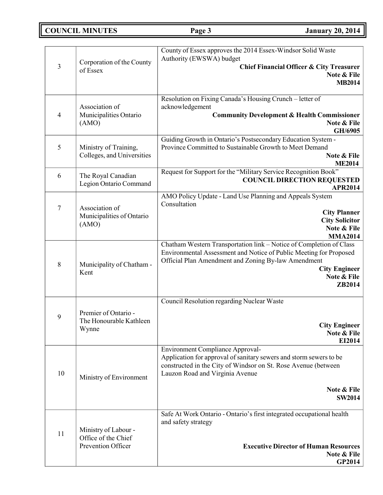# **COUNCIL MINUTES Page 3 January 20, 2014**

| 3                | Corporation of the County<br>of Essex                             | County of Essex approves the 2014 Essex-Windsor Solid Waste<br>Authority (EWSWA) budget<br><b>Chief Financial Officer &amp; City Treasurer</b><br>Note & File<br><b>MB2014</b>                                                                     |
|------------------|-------------------------------------------------------------------|----------------------------------------------------------------------------------------------------------------------------------------------------------------------------------------------------------------------------------------------------|
| $\overline{4}$   | Association of<br>Municipalities Ontario<br>(AMO)                 | Resolution on Fixing Canada's Housing Crunch - letter of<br>acknowledgement<br><b>Community Development &amp; Health Commissioner</b><br>Note & File<br>GH/6905                                                                                    |
| 5                | Ministry of Training,<br>Colleges, and Universities               | Guiding Growth in Ontario's Postsecondary Education System -<br>Province Committed to Sustainable Growth to Meet Demand<br>Note & File<br><b>ME2014</b>                                                                                            |
| 6                | The Royal Canadian<br>Legion Ontario Command                      | Request for Support for the "Military Service Recognition Book"<br><b>COUNCIL DIRECTION REQUESTED</b><br>APR2014                                                                                                                                   |
| $\boldsymbol{7}$ | Association of<br>Municipalities of Ontario<br>(AMO)              | AMO Policy Update - Land Use Planning and Appeals System<br>Consultation<br><b>City Planner</b><br><b>City Solicitor</b><br>Note & File<br><b>MMA2014</b>                                                                                          |
| 8                | Municipality of Chatham -<br>Kent                                 | Chatham Western Transportation link - Notice of Completion of Class<br>Environmental Assessment and Notice of Public Meeting for Proposed<br>Official Plan Amendment and Zoning By-law Amendment<br><b>City Engineer</b><br>Note & File<br>ZB2014  |
| 9                | Premier of Ontario -<br>The Honourable Kathleen<br>Wynne          | Council Resolution regarding Nuclear Waste<br><b>City Engineer</b><br>Note & File<br>EI2014                                                                                                                                                        |
| 10               | Ministry of Environment                                           | <b>Environment Compliance Approval-</b><br>Application for approval of sanitary sewers and storm sewers to be<br>constructed in the City of Windsor on St. Rose Avenue (between<br>Lauzon Road and Virginia Avenue<br>Note & File<br><b>SW2014</b> |
| 11               | Ministry of Labour -<br>Office of the Chief<br>Prevention Officer | Safe At Work Ontario - Ontario's first integrated occupational health<br>and safety strategy<br><b>Executive Director of Human Resources</b><br>Note & File<br><b>GP2014</b>                                                                       |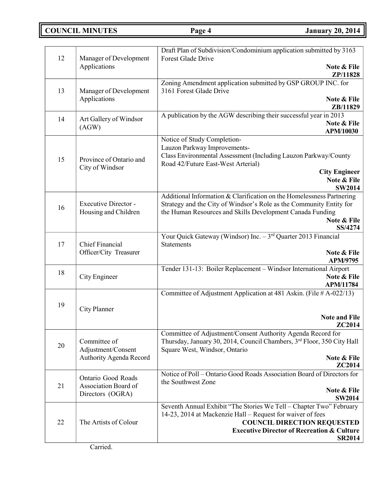**COUNCIL MINUTES Page 4 January 20, 2014**

|    |                                                                | Draft Plan of Subdivision/Condominium application submitted by 3163                                                                                                                                                                                  |
|----|----------------------------------------------------------------|------------------------------------------------------------------------------------------------------------------------------------------------------------------------------------------------------------------------------------------------------|
| 12 | Manager of Development<br>Applications                         | Forest Glade Drive<br>Note & File<br>ZP/11828                                                                                                                                                                                                        |
| 13 | Manager of Development<br>Applications                         | Zoning Amendment application submitted by GSP GROUP INC. for<br>3161 Forest Glade Drive<br>Note & File                                                                                                                                               |
| 14 | Art Gallery of Windsor<br>(AGW)                                | ZB/11829<br>A publication by the AGW describing their successful year in 2013<br>Note & File                                                                                                                                                         |
| 15 | Province of Ontario and<br>City of Windsor                     | APM/10030<br>Notice of Study Completion-<br>Lauzon Parkway Improvements-<br>Class Environmental Assessment (Including Lauzon Parkway/County<br>Road 42/Future East-West Arterial)<br><b>City Engineer</b><br>Note & File                             |
| 16 | Executive Director -<br>Housing and Children                   | <b>SW2014</b><br>Additional Information & Clarification on the Homelessness Partnering<br>Strategy and the City of Windsor's Role as the Community Entity for<br>the Human Resources and Skills Development Canada Funding<br>Note & File<br>SS/4274 |
| 17 | <b>Chief Financial</b><br>Officer/City Treasurer               | Your Quick Gateway (Windsor) Inc. - 3rd Quarter 2013 Financial<br><b>Statements</b><br>Note & File                                                                                                                                                   |
| 18 | City Engineer                                                  | APM/9795<br>Tender 131-13: Boiler Replacement - Windsor International Airport<br>Note & File<br><b>APM/11784</b>                                                                                                                                     |
| 19 | City Planner                                                   | Committee of Adjustment Application at 481 Askin. (File # A-022/13)<br><b>Note and File</b><br>ZC2014                                                                                                                                                |
| 20 | Committee of<br>Adjustment/Consent<br>Authority Agenda Record  | Committee of Adjustment/Consent Authority Agenda Record for<br>Thursday, January 30, 2014, Council Chambers, 3rd Floor, 350 City Hall<br>Square West, Windsor, Ontario<br>Note & File<br>ZC2014                                                      |
| 21 | Ontario Good Roads<br>Association Board of<br>Directors (OGRA) | Notice of Poll – Ontario Good Roads Association Board of Directors for<br>the Southwest Zone<br>Note & File<br><b>SW2014</b>                                                                                                                         |
| 22 | The Artists of Colour                                          | Seventh Annual Exhibit "The Stories We Tell - Chapter Two" February<br>14-23, 2014 at Mackenzie Hall – Request for waiver of fees<br><b>COUNCIL DIRECTION REQUESTED</b><br><b>Executive Director of Recreation &amp; Culture</b><br><b>SR2014</b>    |

Carried.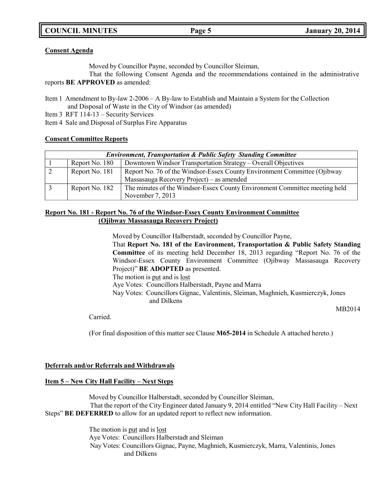## **COUNCIL MINUTES Page 5 January 20, 2014**

### **Consent Agenda**

Moved by Councillor Payne, seconded by Councillor Sleiman,

That the following Consent Agenda and the recommendations contained in the administrative reports **BE APPROVED** as amended:

Item 1 Amendment to By-law 2-2006 – A By-law to Establish and Maintain a System for the Collection and Disposal of Waste in the City of Windsor (as amended)

Item 3 RFT 114-13 – Security Services

Item 4 Sale and Disposal of Surplus Fire Apparatus

### **Consent Committee Reports**

| <b>Environment, Transportation &amp; Public Safety Standing Committee</b> |                |                                                                            |
|---------------------------------------------------------------------------|----------------|----------------------------------------------------------------------------|
|                                                                           | Report No. 180 | Downtown Windsor Transportation Strategy – Overall Objectives              |
|                                                                           | Report No. 181 | Report No. 76 of the Windsor-Essex County Environment Committee (Ojibway   |
|                                                                           |                | Massasauga Recovery Project) – as amended                                  |
|                                                                           | Report No. 182 | The minutes of the Windsor-Essex County Environment Committee meeting held |
|                                                                           |                | November 7, 2013                                                           |

## **Report No. 181 - Report No. 76 of the Windsor-Essex County Environment Committee (Ojibway Massasauga Recovery Project)**

Moved by Councillor Halberstadt, seconded by Councillor Payne,

That **Report No. 181 of the Environment, Transportation & Public Safety Standing Committee** of its meeting held December 18, 2013 regarding "Report No. 76 of the Windsor-Essex County Environment Committee (Ojibway Massasauga Recovery Project)" **BE ADOPTED** as presented.

The motion is put and is lost

Aye Votes: Councillors Halberstadt, Payne and Marra

Nay Votes: Councillors Gignac, Valentinis, Sleiman, Maghnieh, Kusmierczyk, Jones and Dilkens

MB2014

Carried.

(For final disposition of this matter see Clause **M65-2014** in Schedule A attached hereto.)

### **Deferrals and/or Referrals and Withdrawals**

## **Item 5 – New City Hall Facility – Next Steps**

Moved by Councillor Halberstadt, seconded by Councillor Sleiman, That the report of the City Engineer dated January 9, 2014 entitled "New City Hall Facility – Next Steps" **BE DEFERRED** to allow for an updated report to reflect new information.

> The motion is put and is lost Aye Votes: Councillors Halberstadt and Sleiman Nay Votes: Councillors Gignac, Payne, Maghnieh, Kusmierczyk, Marra, Valentinis, Jones and Dilkens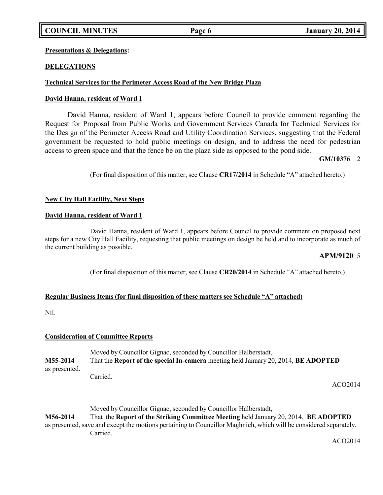## **COUNCIL MINUTES Page 6 January 20, 2014**

## **Presentations & Delegations:**

## **DELEGATIONS**

## **Technical Services for the Perimeter Access Road of the New Bridge Plaza**

### **David Hanna, resident of Ward 1**

David Hanna, resident of Ward 1, appears before Council to provide comment regarding the Request for Proposal from Public Works and Government Services Canada for Technical Services for the Design of the Perimeter Access Road and Utility Coordination Services, suggesting that the Federal government be requested to hold public meetings on design, and to address the need for pedestrian access to green space and that the fence be on the plaza side as opposed to the pond side.

## **GM/10376** 2

(For final disposition of this matter, see Clause **CR17/2014** in Schedule "A" attached hereto.)

## **New City Hall Facility, Next Steps**

### **David Hanna, resident of Ward 1**

David Hanna, resident of Ward 1, appears before Council to provide comment on proposed next steps for a new City Hall Facility, requesting that public meetings on design be held and to incorporate as much of the current building as possible.

## **APM/9120** 5

(For final disposition of this matter, see Clause **CR20/2014** in Schedule "A" attached hereto.)

### **Regular Business Items (for final disposition of these matters see Schedule "A" attached)**

Nil.

### **Consideration of Committee Reports**

Moved by Councillor Gignac, seconded by Councillor Halberstadt, **M55-2014** That the **Report of the special In-camera** meeting held January 20, 2014, **BE ADOPTED** as presented. Carried.

ACO2014

Moved by Councillor Gignac, seconded by Councillor Halberstadt, **M56-2014** That the **Report of the Striking Committee Meeting** held January 20, 2014, **BE ADOPTED** as presented, save and except the motions pertaining to Councillor Maghnieh, which will be considered separately. Carried.

ACO2014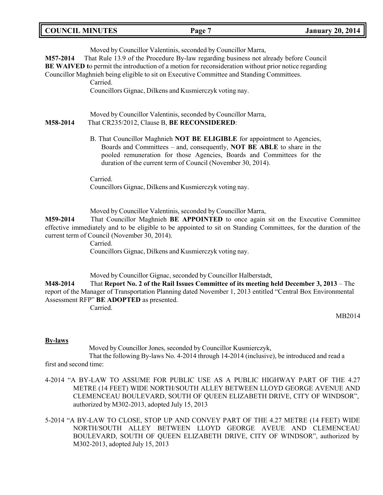| <b>COUNCIL MINUTES</b><br><b>January 20, 2014</b><br>Page ' |
|-------------------------------------------------------------|
|-------------------------------------------------------------|

Moved by Councillor Valentinis, seconded by Councillor Marra,

**M57-2014** That Rule 13.9 of the Procedure By-law regarding business not already before Council

**BE WAIVED t**o permit the introduction of a motion for reconsideration without prior notice regarding

Councillor Maghnieh being eligible to sit on Executive Committee and Standing Committees.

Carried.

Councillors Gignac, Dilkens and Kusmierczyk voting nay.

Moved by Councillor Valentinis, seconded by Councillor Marra, **M58-2014** That CR235/2012, Clause B, **BE RECONSIDERED**:

> B. That Councillor Maghnieh **NOT BE ELIGIBLE** for appointment to Agencies, Boards and Committees – and, consequently, **NOT BE ABLE** to share in the pooled remuneration for those Agencies, Boards and Committees for the duration of the current term of Council (November 30, 2014).

Carried. Councillors Gignac, Dilkens and Kusmierczyk voting nay.

Moved by Councillor Valentinis, seconded by Councillor Marra,

**M59-2014** That Councillor Maghnieh **BE APPOINTED** to once again sit on the Executive Committee effective immediately and to be eligible to be appointed to sit on Standing Committees, for the duration of the current term of Council (November 30, 2014).

Carried.

Councillors Gignac, Dilkens and Kusmierczyk voting nay.

Moved by Councillor Gignac, seconded by Councillor Halberstadt,

**M48-2014** That **Report No. 2 of the Rail Issues Committee of its meeting held December 3, 2013** – The report of the Manager of Transportation Planning dated November 1, 2013 entitled "Central Box Environmental Assessment RFP" **BE ADOPTED** as presented.

Carried.

MB2014

## **By-laws**

Moved by Councillor Jones, seconded by Councillor Kusmierczyk,

That the following By-laws No. 4-2014 through 14-2014 (inclusive), be introduced and read a first and second time:

- 4-2014 "A BY-LAW TO ASSUME FOR PUBLIC USE AS A PUBLIC HIGHWAY PART OF THE 4.27 METRE (14 FEET) WIDE NORTH/SOUTH ALLEY BETWEEN LLOYD GEORGE AVENUE AND CLEMENCEAU BOULEVARD, SOUTH OF QUEEN ELIZABETH DRIVE, CITY OF WINDSOR", authorized by M302-2013, adopted July 15, 2013
- 5-2014 "A BY-LAW TO CLOSE, STOP UP AND CONVEY PART OF THE 4.27 METRE (14 FEET) WIDE NORTH/SOUTH ALLEY BETWEEN LLOYD GEORGE AVEUE AND CLEMENCEAU BOULEVARD, SOUTH OF QUEEN ELIZABETH DRIVE, CITY OF WINDSOR", authorized by M302-2013, adopted July 15, 2013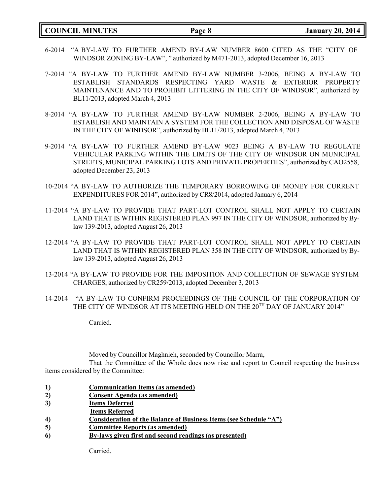**COUNCIL MINUTES Page 8 January 20, 2014**

- 6-2014 "A BY-LAW TO FURTHER AMEND BY-LAW NUMBER 8600 CITED AS THE "CITY OF WINDSOR ZONING BY-LAW", " authorized by M471-2013, adopted December 16, 2013
- 7-2014 "A BY-LAW TO FURTHER AMEND BY-LAW NUMBER 3-2006, BEING A BY-LAW TO ESTABLISH STANDARDS RESPECTING YARD WASTE & EXTERIOR PROPERTY MAINTENANCE AND TO PROHIBIT LITTERING IN THE CITY OF WINDSOR", authorized by BL11/2013, adopted March 4, 2013
- 8-2014 "A BY-LAW TO FURTHER AMEND BY-LAW NUMBER 2-2006, BEING A BY-LAW TO ESTABLISH AND MAINTAIN A SYSTEM FOR THE COLLECTION AND DISPOSAL OF WASTE IN THE CITY OF WINDSOR", authorized by BL11/2013, adopted March 4, 2013
- 9-2014 "A BY-LAW TO FURTHER AMEND BY-LAW 9023 BEING A BY-LAW TO REGULATE VEHICULAR PARKING WITHIN THE LIMITS OF THE CITY OF WINDSOR ON MUNICIPAL STREETS, MUNICIPAL PARKING LOTS AND PRIVATE PROPERTIES", authorized by CAO2558, adopted December 23, 2013
- 10-2014 "A BY-LAW TO AUTHORIZE THE TEMPORARY BORROWING OF MONEY FOR CURRENT EXPENDITURES FOR 2014", authorized by CR8/2014, adopted January 6, 2014
- 11-2014 "A BY-LAW TO PROVIDE THAT PART-LOT CONTROL SHALL NOT APPLY TO CERTAIN LAND THAT IS WITHIN REGISTERED PLAN 997 IN THE CITY OF WINDSOR, authorized by Bylaw 139-2013, adopted August 26, 2013
- 12-2014 "A BY-LAW TO PROVIDE THAT PART-LOT CONTROL SHALL NOT APPLY TO CERTAIN LAND THAT IS WITHIN REGISTERED PLAN 358 IN THE CITY OF WINDSOR, authorized by Bylaw 139-2013, adopted August 26, 2013
- 13-2014 "A BY-LAW TO PROVIDE FOR THE IMPOSITION AND COLLECTION OF SEWAGE SYSTEM CHARGES, authorized by CR259/2013, adopted December 3, 2013
- 14-2014 "A BY-LAW TO CONFIRM PROCEEDINGS OF THE COUNCIL OF THE CORPORATION OF THE CITY OF WINDSOR AT ITS MEETING HELD ON THE 20TH DAY OF JANUARY 2014"

Carried.

Moved by Councillor Maghnieh, seconded by Councillor Marra,

That the Committee of the Whole does now rise and report to Council respecting the business items considered by the Committee:

- **1) Communication Items (as amended)**
- **2) Consent Agenda (as amended)**
- **3) Items Deferred**
- **Items Referred**
- **4) Consideration of the Balance of Business Items (see Schedule "A")**
- **5) Committee Reports (as amended)**
- **6) By-laws given first and second readings (as presented)**

Carried.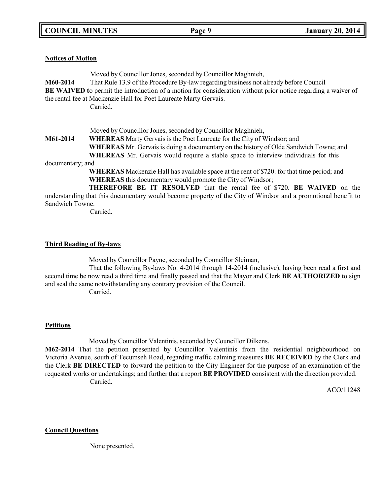## **Notices of Motion**

Moved by Councillor Jones, seconded by Councillor Maghnieh, **M60-2014** That Rule 13.9 of the Procedure By-law regarding business not already before Council **BE** WAIVED to permit the introduction of a motion for consideration without prior notice regarding a waiver of the rental fee at Mackenzie Hall for Poet Laureate Marty Gervais. Carried.

Moved by Councillor Jones, seconded by Councillor Maghnieh,

**M61-2014 WHEREAS** Marty Gervais is the Poet Laureate for the City of Windsor; and

**WHEREAS** Mr. Gervais is doing a documentary on the history of Olde Sandwich Towne; and

**WHEREAS** Mr. Gervais would require a stable space to interview individuals for this documentary; and

> **WHEREAS** Mackenzie Hall has available space at the rent of \$720. for that time period; and **WHEREAS** this documentary would promote the City of Windsor;

**THEREFORE BE IT RESOLVED** that the rental fee of \$720. **BE WAIVED** on the understanding that this documentary would become property of the City of Windsor and a promotional benefit to Sandwich Towne.

Carried.

## **Third Reading of By-laws**

Moved by Councillor Payne, seconded by Councillor Sleiman,

That the following By-laws No. 4-2014 through 14-2014 (inclusive), having been read a first and second time be now read a third time and finally passed and that the Mayor and Clerk **BE AUTHORIZED** to sign and seal the same notwithstanding any contrary provision of the Council.

Carried.

## **Petitions**

Moved by Councillor Valentinis, seconded by Councillor Dilkens,

**M62-2014** That the petition presented by Councillor Valentinis from the residential neighbourhood on Victoria Avenue, south of Tecumseh Road, regarding traffic calming measures **BE RECEIVED** by the Clerk and the Clerk **BE DIRECTED** to forward the petition to the City Engineer for the purpose of an examination of the requested works or undertakings; and further that a report **BE PROVIDED** consistent with the direction provided. Carried.

ACO/11248

**Council Questions**

None presented.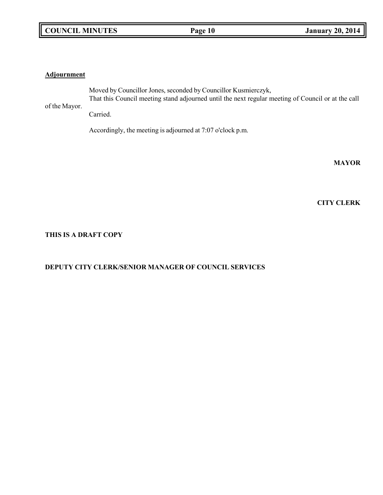## **COUNCIL MINUTES Page 10 January 20, 2014**

### **Adjournment**

of the Mayor. Moved by Councillor Jones, seconded by Councillor Kusmierczyk, That this Council meeting stand adjourned until the next regular meeting of Council or at the call Carried.

Accordingly, the meeting is adjourned at 7:07 o'clock p.m.

**MAYOR**

**CITY CLERK**

## **THIS IS A DRAFT COPY**

## **DEPUTY CITY CLERK/SENIOR MANAGER OF COUNCIL SERVICES**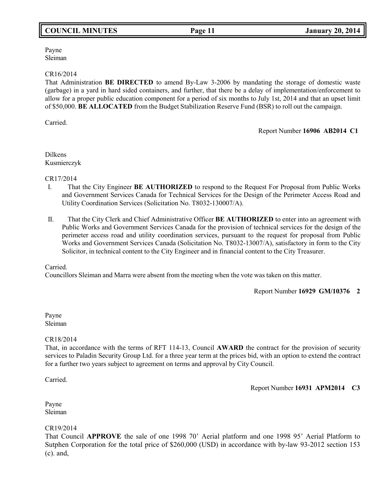## **COUNCIL MINUTES Page 11 January 20, 2014**

Payne Sleiman

### CR16/2014

That Administration **BE DIRECTED** to amend By-Law 3-2006 by mandating the storage of domestic waste (garbage) in a yard in hard sided containers, and further, that there be a delay of implementation/enforcement to allow for a proper public education component for a period of six months to July 1st, 2014 and that an upset limit of \$50,000. **BE ALLOCATED** from the Budget Stabilization Reserve Fund (BSR) to roll out the campaign.

Carried.

Report Number **16906 AB2014 C1**

Dilkens Kusmierczyk

CR17/2014

- I. That the City Engineer **BE AUTHORIZED** to respond to the Request For Proposal from Public Works and Government Services Canada for Technical Services for the Design of the Perimeter Access Road and Utility Coordination Services (Solicitation No. T8032-130007/A).
- II. That the City Clerk and Chief Administrative Officer **BE AUTHORIZED** to enter into an agreement with Public Works and Government Services Canada for the provision of technical services for the design of the perimeter access road and utility coordination services, pursuant to the request for proposal from Public Works and Government Services Canada (Solicitation No. T8032-13007/A), satisfactory in form to the City Solicitor, in technical content to the City Engineer and in financial content to the City Treasurer.

Carried.

Councillors Sleiman and Marra were absent from the meeting when the vote was taken on this matter.

Report Number **16929 GM/10376 2**

Payne Sleiman

## CR18/2014

That, in accordance with the terms of RFT 114-13, Council **AWARD** the contract for the provision of security services to Paladin Security Group Ltd. for a three year term at the prices bid, with an option to extend the contract for a further two years subject to agreement on terms and approval by City Council.

Carried.

Report Number **16931 APM2014 C3**

Payne Sleiman

## CR19/2014

That Council **APPROVE** the sale of one 1998 70' Aerial platform and one 1998 95' Aerial Platform to Sutphen Corporation for the total price of \$260,000 (USD) in accordance with by-law 93-2012 section 153 (c). and,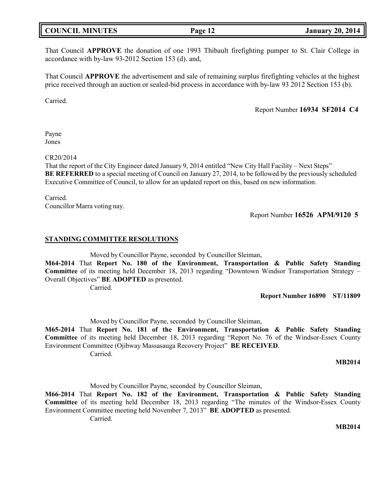## **COUNCIL MINUTES Page 12 January 20, 2014**

That Council **APPROVE** the donation of one 1993 Thibault firefighting pumper to St. Clair College in accordance with by-law 93-2012 Section 153 (d). and,

That Council **APPROVE** the advertisement and sale of remaining surplus firefighting vehicles at the highest price received through an auction or sealed-bid process in accordance with by-law 93 2012 Section 153 (b).

Carried.

Report Number **16934 SF2014 C4**

Payne Jones

CR20/2014

That the report of the City Engineer dated January 9, 2014 entitled "New City Hall Facility – Next Steps" **BE REFERRED** to a special meeting of Council on January 27, 2014, to be followed by the previously scheduled Executive Committee of Council, to allow for an updated report on this, based on new information.

Carried. Councillor Marra voting nay.

Report Number **16526 APM/9120 5**

### **STANDING COMMITTEE RESOLUTIONS**

Moved by Councillor Payne, seconded by Councillor Sleiman,

**M64-2014** That **Report No. 180 of the Environment, Transportation & Public Safety Standing Committee** of its meeting held December 18, 2013 regarding "Downtown Windsor Transportation Strategy – Overall Objectives" **BE ADOPTED** as presented.

Carried.

**Report Number 16890 ST/11809**

Moved by Councillor Payne, seconded by Councillor Sleiman,

**M65-2014** That **Report No. 181 of the Environment, Transportation & Public Safety Standing Committee** of its meeting held December 18, 2013 regarding "Report No. 76 of the Windsor-Essex County Environment Committee (Ojibway Massasauga Recovery Project" **BE RECEIVED**.

Carried.

#### **MB2014**

Moved by Councillor Payne, seconded by Councillor Sleiman,

**M66-2014** That **Report No. 182 of the Environment, Transportation & Public Safety Standing Committee** of its meeting held December 18, 2013 regarding "The minutes of the Windsor-Essex County Environment Committee meeting held November 7, 2013" **BE ADOPTED** as presented.

Carried.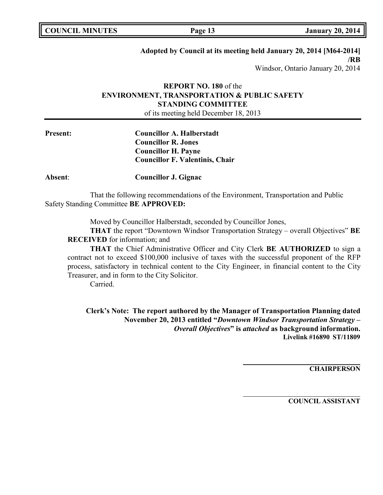## **Adopted by Council at its meeting held January 20, 2014 [M64-2014] /RB**

Windsor, Ontario January 20, 2014

## **REPORT NO. 180** of the **ENVIRONMENT, TRANSPORTATION & PUBLIC SAFETY STANDING COMMITTEE** of its meeting held December 18, 2013

**Present: Councillor A. Halberstadt Councillor R. Jones Councillor H. Payne Councillor F. Valentinis, Chair**

**Absent**: **Councillor J. Gignac**

That the following recommendations of the Environment, Transportation and Public Safety Standing Committee **BE APPROVED:**

Moved by Councillor Halberstadt, seconded by Councillor Jones,

**THAT** the report "Downtown Windsor Transportation Strategy – overall Objectives" **BE RECEIVED** for information; and

**THAT** the Chief Administrative Officer and City Clerk **BE AUTHORIZED** to sign a contract not to exceed \$100,000 inclusive of taxes with the successful proponent of the RFP process, satisfactory in technical content to the City Engineer, in financial content to the City Treasurer, and in form to the City Solicitor.

Carried.

**Clerk's Note: The report authored by the Manager of Transportation Planning dated November 20, 2013 entitled "***Downtown Windsor Transportation Strategy – Overall Objectives***" is** *attached* **as background information. Livelink #16890 ST/11809**

**CHAIRPERSON**

**COUNCIL ASSISTANT**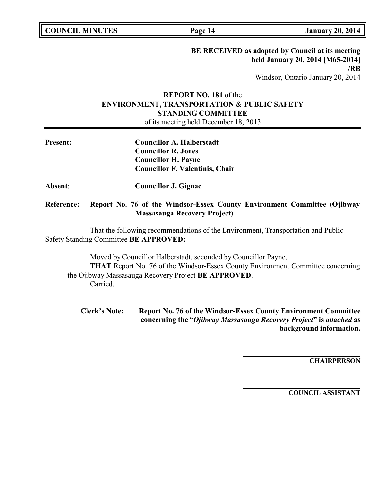**COUNCIL MINUTES Page 14 January 20, 2014**

**BE RECEIVED as adopted by Council at its meeting held January 20, 2014 [M65-2014] /RB** Windsor, Ontario January 20, 2014

## **REPORT NO. 181** of the **ENVIRONMENT, TRANSPORTATION & PUBLIC SAFETY STANDING COMMITTEE**

of its meeting held December 18, 2013

| <b>Present:</b>   | <b>Councillor A. Halberstadt</b><br><b>Councillor R. Jones</b><br><b>Councillor H. Payne</b><br><b>Councillor F. Valentinis, Chair</b> |  |  |
|-------------------|----------------------------------------------------------------------------------------------------------------------------------------|--|--|
| Absent:           | Councillor J. Gignac                                                                                                                   |  |  |
| <b>Reference:</b> | Report No. 76 of the Windsor-Essex County Environment Committee (Ojibway<br><b>Massasauga Recovery Project</b> )                       |  |  |
|                   | That the following recommendations of the Environment. Transportation and Public                                                       |  |  |

That the following recommendations of the Environment, Transportation and Public Safety Standing Committee **BE APPROVED:**

Moved by Councillor Halberstadt, seconded by Councillor Payne, **THAT** Report No. 76 of the Windsor-Essex County Environment Committee concerning the Ojibway Massasauga Recovery Project **BE APPROVED**. Carried.

**Clerk's Note: Report No. 76 of the Windsor-Essex County Environment Committee concerning the "***Ojibway Massasauga Recovery Project***" is** *attached* **as background information.**

**CHAIRPERSON**

**COUNCIL ASSISTANT**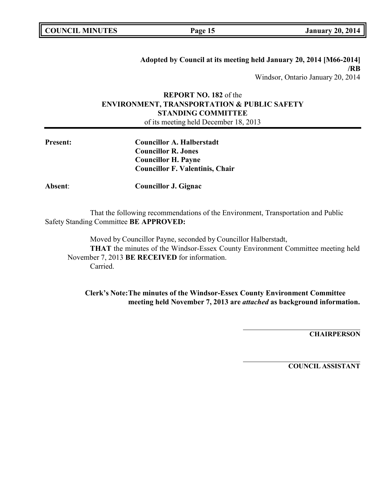**COUNCIL MINUTES Page 15 January 20, 2014**

**Adopted by Council at its meeting held January 20, 2014 [M66-2014] /RB** Windsor, Ontario January 20, 2014

## **REPORT NO. 182** of the **ENVIRONMENT, TRANSPORTATION & PUBLIC SAFETY STANDING COMMITTEE**

of its meeting held December 18, 2013

| <b>Councillor A. Halberstadt</b>       |
|----------------------------------------|
| <b>Councillor R. Jones</b>             |
| <b>Councillor H. Payne</b>             |
| <b>Councillor F. Valentinis, Chair</b> |
|                                        |

**Absent**: **Councillor J. Gignac**

That the following recommendations of the Environment, Transportation and Public Safety Standing Committee **BE APPROVED:**

Moved by Councillor Payne, seconded by Councillor Halberstadt, **THAT** the minutes of the Windsor-Essex County Environment Committee meeting held November 7, 2013 **BE RECEIVED** for information. Carried.

**Clerk's Note:The minutes of the Windsor-Essex County Environment Committee meeting held November 7, 2013 are** *attached* **as background information.**

**CHAIRPERSON**

**COUNCIL ASSISTANT**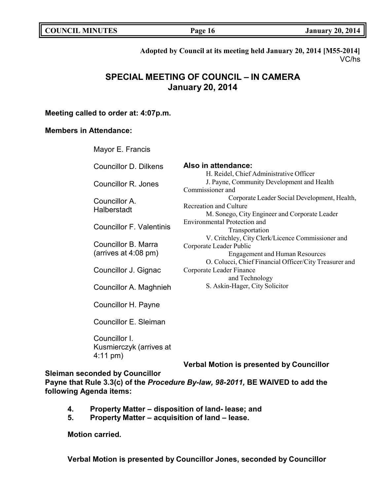|  | <b>COUNCIL MINUTES</b> | Page 16 | <b>January 20, 2014</b> |
|--|------------------------|---------|-------------------------|
|--|------------------------|---------|-------------------------|

**Adopted by Council at its meeting held January 20, 2014 [M55-2014]** VC/hs

# **SPECIAL MEETING OF COUNCIL – IN CAMERA January 20, 2014**

## **Meeting called to order at: 4:07p.m.**

## **Members in Attendance:**

Mayor E. Francis

| <b>Councillor D. Dilkens</b>    | Also in attendance:                                    |
|---------------------------------|--------------------------------------------------------|
|                                 | H. Reidel, Chief Administrative Officer                |
| <b>Councillor R. Jones</b>      | J. Payne, Community Development and Health             |
|                                 | Commissioner and                                       |
| Councillor A.                   | Corporate Leader Social Development, Health,           |
| Halberstadt                     | Recreation and Culture                                 |
|                                 | M. Sonego, City Engineer and Corporate Leader          |
|                                 | Environmental Protection and                           |
| <b>Councillor F. Valentinis</b> | Transportation                                         |
|                                 | V. Critchley, City Clerk/Licence Commissioner and      |
| Councillor B. Marra             | Corporate Leader Public                                |
| (arrives at $4:08$ pm)          | <b>Engagement and Human Resources</b>                  |
|                                 | O. Colucci, Chief Financial Officer/City Treasurer and |
| Councillor J. Gignac            | Corporate Leader Finance                               |
|                                 | and Technology                                         |
| Councillor A. Maghnieh          | S. Askin-Hager, City Solicitor                         |
| Councillor H. Payne             |                                                        |
| Councillor E. Sleiman           |                                                        |
|                                 |                                                        |

Councillor I. Kusmierczyk (arrives at 4:11 pm)

**Verbal Motion is presented by Councillor**

**Sleiman seconded by Councillor**

**Payne that Rule 3.3(c) of the** *Procedure By-law, 98-2011,* **BE WAIVED to add the following Agenda items:**

- **4. Property Matter – disposition of land- lease; and**
- **5. Property Matter – acquisition of land – lease.**

**Motion carried.**

**Verbal Motion is presented by Councillor Jones, seconded by Councillor**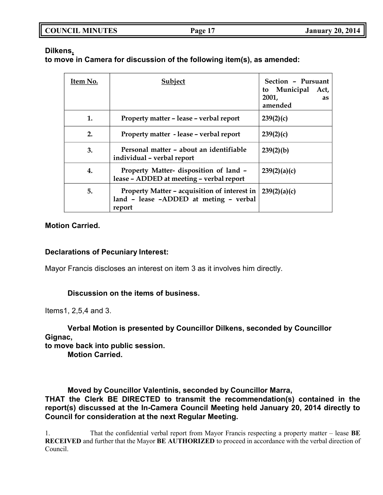| <b>COUNCIL MINUTES</b> | Page 17 | <b>January 20, 2014</b> |
|------------------------|---------|-------------------------|
|                        |         |                         |

## **Dilkens,**

**to move in Camera for discussion of the following item(s), as amended:**

| Item No. | Subject                                                                                          | Section - Pursuant<br>to Municipal<br>Act,<br>2001,<br><b>as</b><br>amended |
|----------|--------------------------------------------------------------------------------------------------|-----------------------------------------------------------------------------|
| 1.       | Property matter - lease - verbal report                                                          | 239(2)(c)                                                                   |
| 2.       | Property matter - lease - verbal report                                                          | 239(2)(c)                                                                   |
| 3.       | Personal matter - about an identifiable<br>individual - verbal report                            | 239(2)(b)                                                                   |
| 4.       | Property Matter- disposition of land -<br>lease - ADDED at meeting - verbal report               | 239(2)(a)(c)                                                                |
| 5.       | Property Matter – acquisition of interest in<br>land - lease -ADDED at meting - verbal<br>report | 239(2)(a)(c)                                                                |

## **Motion Carried.**

## **Declarations of Pecuniary Interest:**

Mayor Francis discloses an interest on item 3 as it involves him directly.

## **Discussion on the items of business.**

Items1, 2,5,4 and 3.

## **Verbal Motion is presented by Councillor Dilkens, seconded by Councillor Gignac,**

**to move back into public session.**

**Motion Carried.**

**Moved by Councillor Valentinis, seconded by Councillor Marra,**

**THAT the Clerk BE DIRECTED to transmit the recommendation(s) contained in the report(s) discussed at the In-Camera Council Meeting held January 20, 2014 directly to Council for consideration at the next Regular Meeting.**

1. That the confidential verbal report from Mayor Francis respecting a property matter – lease **BE RECEIVED** and further that the Mayor **BE AUTHORIZED** to proceed in accordance with the verbal direction of Council.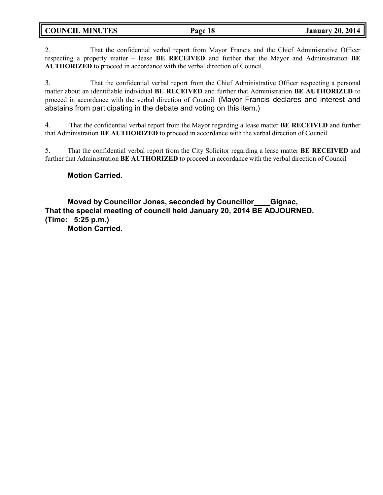**COUNCIL MINUTES Page 18 January 20, 2014**

2. That the confidential verbal report from Mayor Francis and the Chief Administrative Officer respecting a property matter – lease **BE RECEIVED** and further that the Mayor and Administration **BE AUTHORIZED** to proceed in accordance with the verbal direction of Council.

3. That the confidential verbal report from the Chief Administrative Officer respecting a personal matter about an identifiable individual **BE RECEIVED** and further that Administration **BE AUTHORIZED** to proceed in accordance with the verbal direction of Council. (Mayor Francis declares and interest and abstains from participating in the debate and voting on this item.)

4. That the confidential verbal report from the Mayor regarding a lease matter **BE RECEIVED** and further that Administration **BE AUTHORIZED** to proceed in accordance with the verbal direction of Council.

5. That the confidential verbal report from the City Solicitor regarding a lease matter **BE RECEIVED** and further that Administration **BE AUTHORIZED** to proceed in accordance with the verbal direction of Council

## **Motion Carried.**

**Moved by Councillor Jones, seconded by Councillor Gignac, That the special meeting of council held January 20, 2014 BE ADJOURNED. (Time: 5:25 p.m.) Motion Carried.**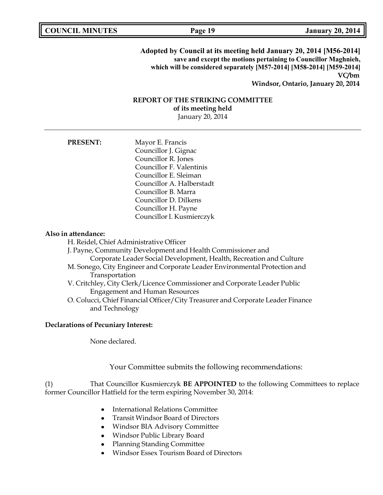**Adopted by Council at its meeting held January 20, 2014 [M56-2014] save and except the motions pertaining to Councillor Maghnieh, which will be considered separately [M57-2014] [M58-2014] [M59-2014] VC/bm Windsor, Ontario, January 20, 2014**

## **REPORT OF THE STRIKING COMMITTEE of its meeting held** January 20, 2014

**PRESENT:** Mayor E. Francis Councillor J. Gignac Councillor R. Jones Councillor F. Valentinis Councillor E. Sleiman Councillor A. Halberstadt Councillor B. Marra Councillor D. Dilkens Councillor H. Payne Councillor I. Kusmierczyk

#### **Also in attendance:**

H. Reidel, Chief Administrative Officer

J. Payne, Community Development and Health Commissioner and Corporate Leader Social Development, Health, Recreation and Culture

- M. Sonego, City Engineer and Corporate Leader Environmental Protection and
	- Transportation
- V. Critchley, City Clerk/Licence Commissioner and Corporate Leader Public Engagement and Human Resources
- O. Colucci, Chief Financial Officer/City Treasurer and Corporate Leader Finance and Technology

### **Declarations of Pecuniary Interest:**

None declared.

Your Committee submits the following recommendations:

(1) That Councillor Kusmierczyk **BE APPOINTED** to the following Committees to replace former Councillor Hatfield for the term expiring November 30, 2014:

- International Relations Committee
- Transit Windsor Board of Directors  $\bullet$
- Windsor BIA Advisory Committee
- Windsor Public Library Board
- Planning Standing Committee
- Windsor Essex Tourism Board of Directors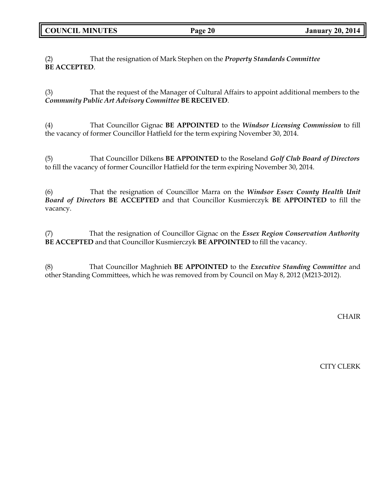**COUNCIL MINUTES Page 20 January 20, 2014**

(2) That the resignation of Mark Stephen on the *Property Standards Committee* **BE ACCEPTED**.

(3) That the request of the Manager of Cultural Affairs to appoint additional members to the *Community Public Art Advisory Committee* **BE RECEIVED**.

(4) That Councillor Gignac **BE APPOINTED** to the *Windsor Licensing Commission* to fill the vacancy of former Councillor Hatfield for the term expiring November 30, 2014.

(5) That Councillor Dilkens **BE APPOINTED** to the Roseland *Golf Club Board of Directors* to fill the vacancy of former Councillor Hatfield for the term expiring November 30, 2014.

(6) That the resignation of Councillor Marra on the *Windsor Essex County Health Unit Board of Directors* **BE ACCEPTED** and that Councillor Kusmierczyk **BE APPOINTED** to fill the vacancy.

(7) That the resignation of Councillor Gignac on the *Essex Region Conservation Authority* **BE ACCEPTED** and that Councillor Kusmierczyk **BE APPOINTED** to fill the vacancy.

(8) That Councillor Maghnieh **BE APPOINTED** to the *Executive Standing Committee* and other Standing Committees, which he was removed from by Council on May 8, 2012 (M213-2012).

CHAIR

CITY CLERK